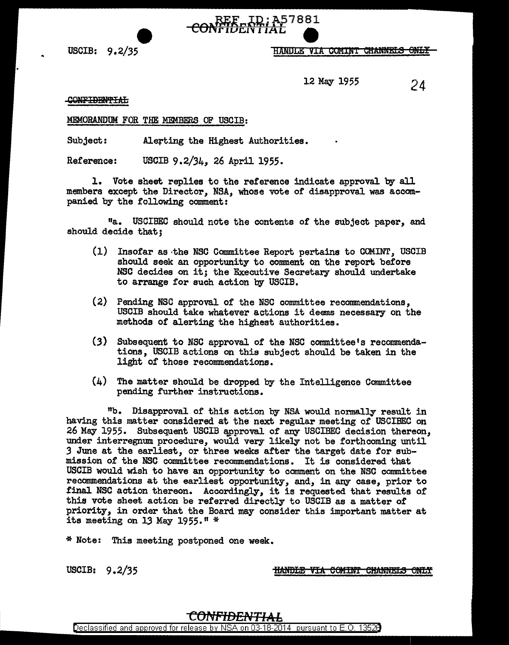

e

USCIB: 9.2/35 "TANDLE VIA COMINT CHANNELS ONLY

12 May 1955 24

## CONFIDENTIAL

## MEMORANDUM FOR THE MEMBERS OF USCIB:

Subject: Alerting the Highest Authorities.

Reference: USCIB 9.2/34, 26 April 1955.

l. Vote sheet replies to the reference indicate approval by all members except the Director, NSA, whose vote of disapproval was accompanied by the following comment:

11a. USCIBEC should note the contents of the subject paper, and should decide that;

- (1) Insofar as ·the NSC Committee Report pertains to COMINT, USCIB should seek an opportunity to comment on the report before NSC decides on it; the Executive Secretary should undertake to arrange for such action by USCIB.
- (2) Pending NSC approval of the NSC committee recommendations, USCIB should take whatever actions it deems necessary on the methods of alerting the highest authorities.
- (3) Subsequent to NSC approval of the NSC committee's recommendations, USCIB actions on this subject should be taken in the light of those recommendations.
- $(4)$  The matter should be dropped by the Intelligence Committee pending further instructions.

"b. Disapproval of this action by NSA would normally result in having this matter considered at the next regular meeting of USCIBEC on 26 May 1955. Subsequent USCIB approval of any USCIBEC decision thereon, under interregnum procedure, would very likely not be forthcoming until *3* June at the earliest, or three weeks after the target date for submission of the NSC committee recommendations. It *is* considered that USCIB would wish to have an opportunity to comment on the NSC committee recommendations at the earliest opportunity, and, in any case, prior to final NSC action thereon. Accordingly, it is requested that results of this vote sheet action be referred directly to USCIB as a matter of priority, in order that the Board may consider this important matter at its meeting on 13 May 1955." \*

\* Note: This meeting postponed one week.

USCIB: 9.2/35

**HANDLE VIA COMINT CHANNELS ONLY**